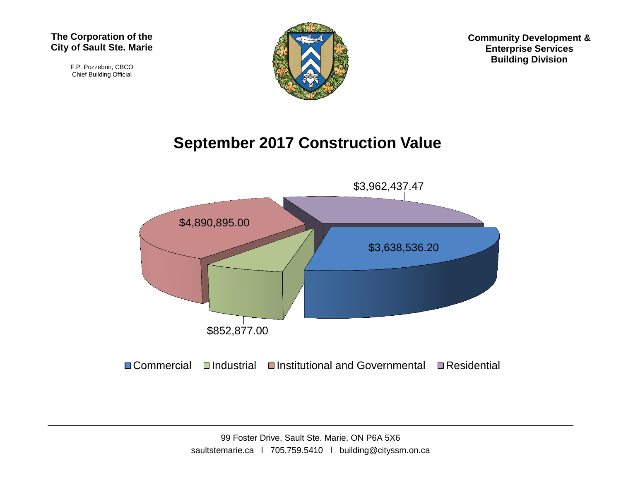F.P. Pozzebon, CBCO Chief Building Official



**Community Development & Enterprise Services Building Division**

## **September 2017 Construction Value**



 $\Box$  Commercial  $\Box$ Industrial  $\Box$ Institutional and Governmental  $\Box$  Residential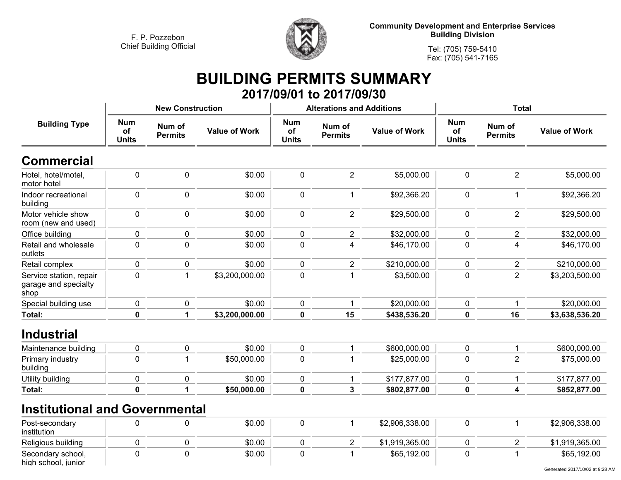**high school, junior**



**Community Development and Enterprise Services Building Division**

**Tel: (705) 759-5410Fax: (705) 541-7165**

## **BUILDING PERMITS SUMMARY 2017/09/01 to 2017/09/30**

|                                                         |                                  | <b>New Construction</b>  |                      |                                  | <b>Alterations and Additions</b> |                      | <b>Total</b>                     |                          |                      |
|---------------------------------------------------------|----------------------------------|--------------------------|----------------------|----------------------------------|----------------------------------|----------------------|----------------------------------|--------------------------|----------------------|
| <b>Building Type</b>                                    | <b>Num</b><br>of<br><b>Units</b> | Num of<br><b>Permits</b> | <b>Value of Work</b> | <b>Num</b><br>of<br><b>Units</b> | Num of<br><b>Permits</b>         | <b>Value of Work</b> | <b>Num</b><br>of<br><b>Units</b> | Num of<br><b>Permits</b> | <b>Value of Work</b> |
| <b>Commercial</b>                                       |                                  |                          |                      |                                  |                                  |                      |                                  |                          |                      |
| Hotel, hotel/motel,<br>motor hotel                      | $\mathbf 0$                      | $\mathbf 0$              | \$0.00               | 0                                | $\overline{2}$                   | \$5,000.00           | $\mathbf 0$                      | $\overline{2}$           | \$5,000.00           |
| Indoor recreational<br>building                         | $\mathbf 0$                      | 0                        | \$0.00               | 0                                | $\mathbf{1}$                     | \$92,366.20          | $\mathbf 0$                      | $\mathbf{1}$             | \$92,366.20          |
| Motor vehicle show<br>room (new and used)               | $\mathbf 0$                      | 0                        | \$0.00               | 0                                | $\overline{2}$                   | \$29,500.00          | $\mathbf 0$                      | $\overline{2}$           | \$29,500.00          |
| Office building                                         | 0                                | $\pmb{0}$                | \$0.00               | 0                                | $\overline{2}$                   | \$32,000.00          | 0                                | $\overline{2}$           | \$32,000.00          |
| Retail and wholesale<br>outlets                         | $\pmb{0}$                        | $\pmb{0}$                | \$0.00               | 0                                | $\overline{4}$                   | \$46,170.00          | 0                                | $\overline{\mathbf{4}}$  | \$46,170.00          |
| Retail complex                                          | $\mathbf 0$                      | 0                        | \$0.00               | 0                                | $\overline{2}$                   | \$210,000.00         | 0                                | $\overline{2}$           | \$210,000.00         |
| Service station, repair<br>garage and specialty<br>shop | 0                                | $\mathbf{1}$             | \$3,200,000.00       | 0                                | 1                                | \$3,500.00           | $\mathbf 0$                      | $\overline{2}$           | \$3,203,500.00       |
| Special building use                                    | 0                                | $\pmb{0}$                | \$0.00               | 0                                | 1                                | \$20,000.00          | 0                                | 1                        | \$20,000.00          |
| Total:                                                  | 0                                | $\mathbf{1}$             | \$3,200,000.00       | $\mathbf 0$                      | 15                               | \$438,536.20         | 0                                | 16                       | \$3,638,536.20       |
| <b>Industrial</b>                                       |                                  |                          |                      |                                  |                                  |                      |                                  |                          |                      |
| Maintenance building                                    | $\mathbf 0$                      | 0                        | \$0.00               | $\mathbf{0}$                     | 1                                | \$600,000.00         | 0                                | $\mathbf 1$              | \$600,000.00         |
| Primary industry<br>building                            | $\mathbf 0$                      | $\mathbf{1}$             | \$50,000.00          | 0                                | 1                                | \$25,000.00          | $\mathbf 0$                      | $\overline{2}$           | \$75,000.00          |
| <b>Utility building</b>                                 | 0                                | $\pmb{0}$                | \$0.00               | 0                                | 1                                | \$177,877.00         | 0                                | $\mathbf 1$              | \$177,877.00         |
| Total:                                                  | $\mathbf 0$                      | 1                        | \$50,000.00          | $\mathbf 0$                      | $\mathbf{3}$                     | \$802,877.00         | 0                                | $\overline{\mathbf{4}}$  | \$852,877.00         |
| <b>Institutional and Governmental</b>                   |                                  |                          |                      |                                  |                                  |                      |                                  |                          |                      |
| Post-secondary<br>institution                           | $\mathbf 0$                      | 0                        | \$0.00               | $\pmb{0}$                        | $\mathbf{1}$                     | \$2,906,338.00       | $\pmb{0}$                        | $\mathbf{1}$             | \$2,906,338.00       |
| Religious building                                      | 0                                | 0                        | \$0.00               | 0                                | $\overline{2}$                   | \$1,919,365.00       | 0                                | $\overline{2}$           | \$1,919,365.00       |
| Secondary school,                                       | 0                                | 0                        | \$0.00               | 0                                | 1                                | \$65,192.00          | 0                                | -1                       | \$65,192.00          |

Generated 2017/10/02 at 9:28 AM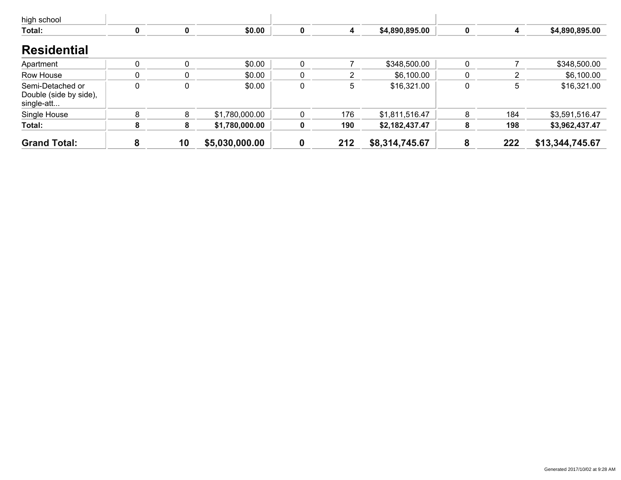| high school                                              |   |             |                |   |     |                |          |     |                 |
|----------------------------------------------------------|---|-------------|----------------|---|-----|----------------|----------|-----|-----------------|
| Total:                                                   |   | $\mathbf 0$ | \$0.00         | 0 | 4   | \$4,890,895.00 | $\bf{0}$ |     | \$4,890,895.00  |
| <b>Residential</b>                                       |   |             |                |   |     |                |          |     |                 |
| Apartment                                                |   | $\Omega$    | \$0.00         |   |     | \$348,500.00   | 0        |     | \$348,500.00    |
| Row House                                                |   | $\Omega$    | \$0.00         |   | 2   | \$6,100.00     |          |     | \$6,100.00      |
| Semi-Detached or<br>Double (side by side),<br>single-att | 0 | 0           | \$0.00         | 0 | 5   | \$16,321.00    |          | 5   | \$16,321.00     |
| Single House                                             | 8 | 8           | \$1,780,000.00 |   | 176 | \$1,811,516.47 | 8        | 184 | \$3,591,516.47  |
| Total:                                                   | 8 | 8           | \$1,780,000.00 | 0 | 190 | \$2,182,437.47 | 8        | 198 | \$3,962,437.47  |
| <b>Grand Total:</b>                                      | 8 | 10          | \$5,030,000.00 |   | 212 | \$8,314,745.67 | 8        | 222 | \$13,344,745.67 |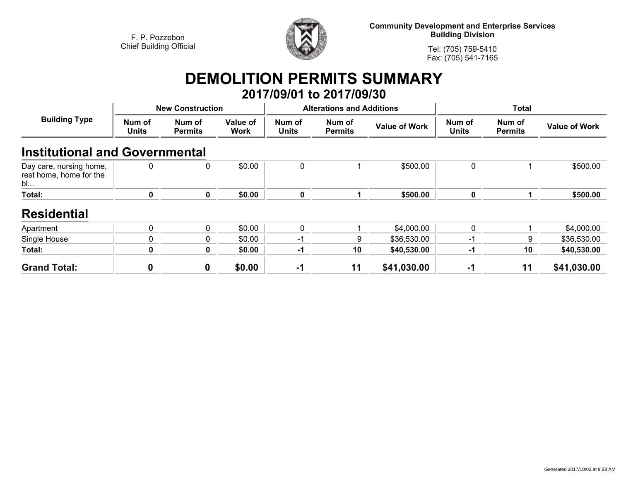

**Community Development and Enterprise Services Building Division**

**Tel: (705) 759-5410Fax: (705) 541-7165**

## **DEMOLITION PERMITS SUMMARY 2017/09/01 to 2017/09/30**

| <b>Building Type</b>                                     |                 | <b>New Construction</b>  |                         |                        | <b>Alterations and Additions</b> |                      | Total                  |                          |                      |
|----------------------------------------------------------|-----------------|--------------------------|-------------------------|------------------------|----------------------------------|----------------------|------------------------|--------------------------|----------------------|
|                                                          | Num of<br>Units | Num of<br><b>Permits</b> | Value of<br><b>Work</b> | Num of<br><b>Units</b> | Num of<br><b>Permits</b>         | <b>Value of Work</b> | Num of<br><b>Units</b> | Num of<br><b>Permits</b> | <b>Value of Work</b> |
| <b>Institutional and Governmental</b>                    |                 |                          |                         |                        |                                  |                      |                        |                          |                      |
| Day care, nursing home,<br>rest home, home for the<br>bl | $\mathbf 0$     | 0                        | \$0.00                  | 0                      |                                  | \$500.00             | $\mathbf 0$            |                          | \$500.00             |
| Total:                                                   | 0               | $\mathbf{0}$             | \$0.00                  | $\mathbf 0$            |                                  | \$500.00             | $\mathbf 0$            |                          | \$500.00             |
| <b>Residential</b>                                       |                 |                          |                         |                        |                                  |                      |                        |                          |                      |
| Apartment                                                | 0               | 0                        | \$0.00                  | $\mathbf{0}$           |                                  | \$4,000.00           | $\mathbf{0}$           |                          | \$4,000.00           |
| Single House                                             | 0               | 0                        | \$0.00                  | $-1$                   | 9                                | \$36,530.00          | $-1$                   | 9                        | \$36,530.00          |
| Total:                                                   | 0               | 0                        | \$0.00                  | $-1$                   | 10                               | \$40,530.00          | -1                     | 10                       | \$40,530.00          |
| <b>Grand Total:</b>                                      | 0               | $\bf{0}$                 | \$0.00                  | -1                     | 11                               | \$41,030.00          | $-1$                   | 11                       | \$41,030.00          |